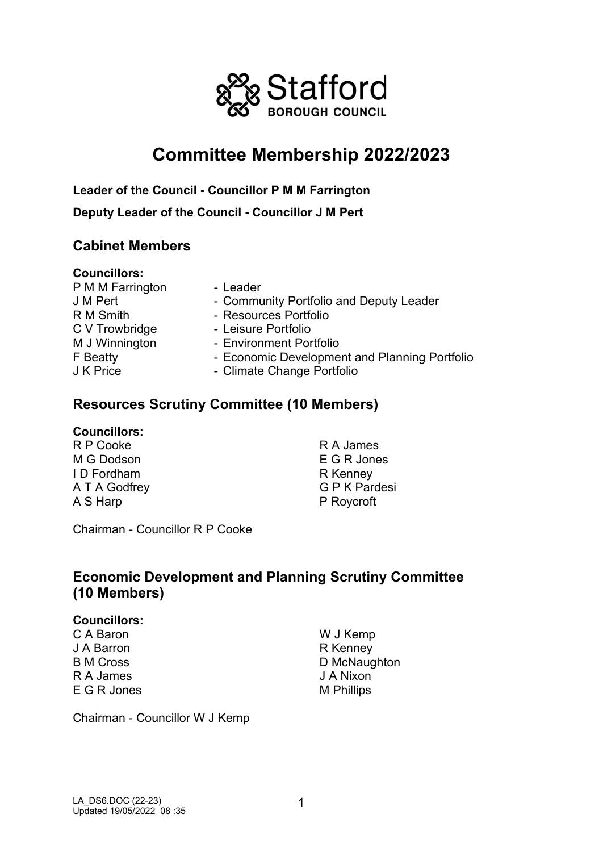

# **Committee Membership 2022/2023**

**Leader of the Council - Councillor P M M Farrington Deputy Leader of the Council - Councillor J M Pert**

### **Cabinet Members**

#### **Councillors:**

- P M M Farrington Leader C V Trowbridge<br>M J Winnington
- J M Pert  **Community Portfolio and Deputy Leader** R M Smith - Resources Portfolio<br>C V Trowbridge - Leisure Portfolio - Environment Portfolio F Beatty **- Economic Development and Planning Portfolio**<br>J K Price **- Climate Change Portfolio** - Climate Change Portfolio

### **Resources Scrutiny Committee (10 Members)**

#### **Councillors:**

R P Cooke M G Dodson I D Fordham A T A Godfrey A S Harp

R A James E G R Jones R Kenney G P K Pardesi P Roycroft

Chairman - Councillor R P Cooke

## **Economic Development and Planning Scrutiny Committee (10 Members)**

#### **Councillors:**

C A Baron J A Barron B M Cross R A James E G R Jones W J Kemp R Kenney D McNaughton J A Nixon M Phillips

Chairman - Councillor W J Kemp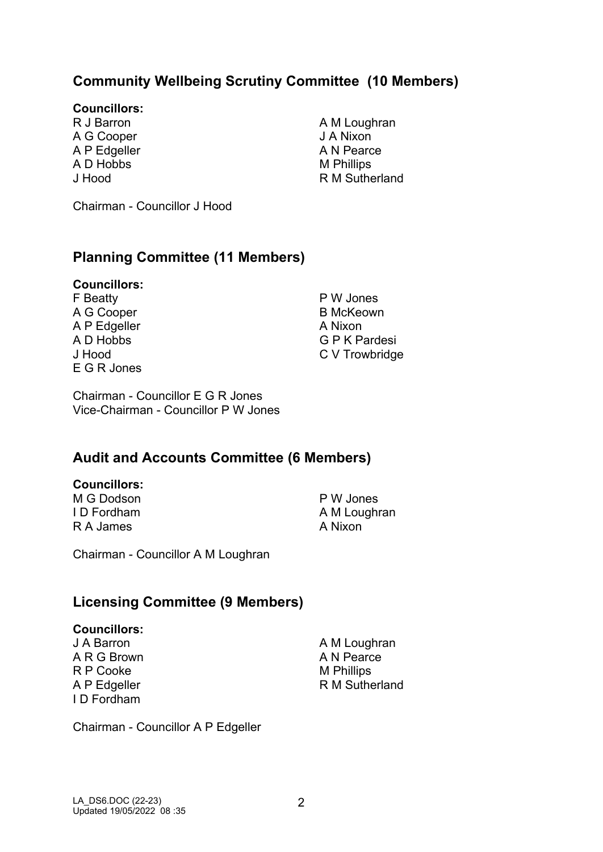## **Community Wellbeing Scrutiny Committee (10 Members)**

#### **Councillors:**

R J Barron A G Cooper A P Edgeller A D Hobbs J Hood

A M Loughran J A Nixon A N Pearce M Phillips R M Sutherland

Chairman - Councillor J Hood

### **Planning Committee (11 Members)**

### **Councillors:**

F Beatty A G Cooper A P Edgeller A D Hobbs J Hood E G R Jones

P W Jones B McKeown A Nixon G P K Pardesi C V Trowbridge

Chairman - Councillor E G R Jones Vice-Chairman - Councillor P W Jones

### **Audit and Accounts Committee (6 Members)**

#### **Councillors:**

M G Dodson I D Fordham R A James

P W Jones A M Loughran A Nixon

Chairman - Councillor A M Loughran

### **Licensing Committee (9 Members)**

#### **Councillors:**

J A Barron A R G Brown R P Cooke A P Edgeller I D Fordham

A M Loughran A N Pearce M Phillips R M Sutherland

Chairman - Councillor A P Edgeller